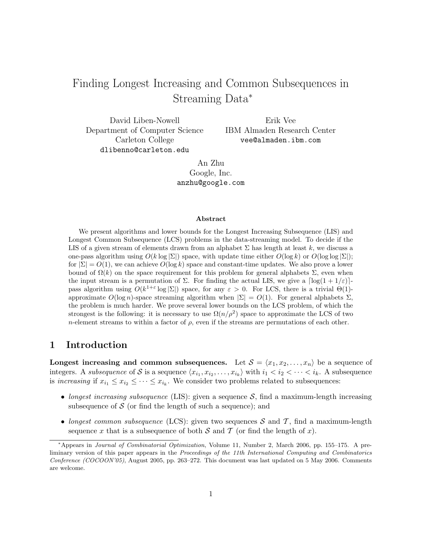# Finding Longest Increasing and Common Subsequences in Streaming Data<sup>∗</sup>

David Liben-Nowell Department of Computer Science Carleton College dlibenno@carleton.edu

Erik Vee IBM Almaden Research Center vee@almaden.ibm.com

An Zhu Google, Inc. anzhu@google.com

#### Abstract

We present algorithms and lower bounds for the Longest Increasing Subsequence (LIS) and Longest Common Subsequence (LCS) problems in the data-streaming model. To decide if the LIS of a given stream of elements drawn from an alphabet  $\Sigma$  has length at least k, we discuss a one-pass algorithm using  $O(k \log |\Sigma|)$  space, with update time either  $O(\log k)$  or  $O(\log \log |\Sigma|)$ ; for  $|\Sigma| = O(1)$ , we can achieve  $O(\log k)$  space and constant-time updates. We also prove a lower bound of  $\Omega(k)$  on the space requirement for this problem for general alphabets  $\Sigma$ , even when the input stream is a permutation of  $\Sigma$ . For finding the actual LIS, we give a  $\lceil \log(1 + 1/\varepsilon) \rceil$ pass algorithm using  $O(k^{1+\epsilon} \log |\Sigma|)$  space, for any  $\epsilon > 0$ . For LCS, there is a trivial  $\Theta(1)$ approximate  $O(\log n)$ -space streaming algorithm when  $|\Sigma| = O(1)$ . For general alphabets  $\Sigma$ , the problem is much harder. We prove several lower bounds on the LCS problem, of which the strongest is the following: it is necessary to use  $\Omega(n/\rho^2)$  space to approximate the LCS of two n-element streams to within a factor of  $\rho$ , even if the streams are permutations of each other.

## 1 Introduction

**Longest increasing and common subsequences.** Let  $S = \langle x_1, x_2, \ldots, x_n \rangle$  be a sequence of integers. A *subsequence* of S is a sequence  $\langle x_{i_1}, x_{i_2}, \ldots, x_{i_k} \rangle$  with  $i_1 < i_2 < \cdots < i_k$ . A subsequence is increasing if  $x_{i_1} \leq x_{i_2} \leq \cdots \leq x_{i_k}$ . We consider two problems related to subsequences:

- longest increasing subsequence (LIS): given a sequence  $S$ , find a maximum-length increasing subsequence of  $S$  (or find the length of such a sequence); and
- longest common subsequence (LCS): given two sequences S and T, find a maximum-length sequence x that is a subsequence of both  $S$  and  $T$  (or find the length of x).

<sup>∗</sup>Appears in Journal of Combinatorial Optimization, Volume 11, Number 2, March 2006, pp. 155–175. A preliminary version of this paper appears in the Proceedings of the 11th International Computing and Combinatorics Conference (COCOON'05), August 2005, pp. 263–272. This document was last updated on 5 May 2006. Comments are welcome.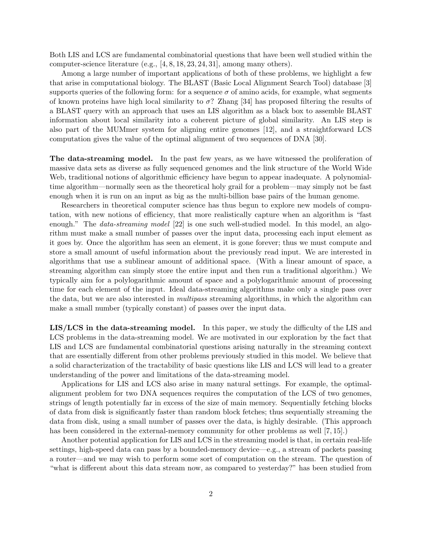Both LIS and LCS are fundamental combinatorial questions that have been well studied within the computer-science literature (e.g., [4, 8, 18, 23, 24, 31], among many others).

Among a large number of important applications of both of these problems, we highlight a few that arise in computational biology. The BLAST (Basic Local Alignment Search Tool) database [3] supports queries of the following form: for a sequence  $\sigma$  of amino acids, for example, what segments of known proteins have high local similarity to  $\sigma$ ? Zhang [34] has proposed filtering the results of a BLAST query with an approach that uses an LIS algorithm as a black box to assemble BLAST information about local similarity into a coherent picture of global similarity. An LIS step is also part of the MUMmer system for aligning entire genomes [12], and a straightforward LCS computation gives the value of the optimal alignment of two sequences of DNA [30].

The data-streaming model. In the past few years, as we have witnessed the proliferation of massive data sets as diverse as fully sequenced genomes and the link structure of the World Wide Web, traditional notions of algorithmic efficiency have begun to appear inadequate. A polynomialtime algorithm—normally seen as the theoretical holy grail for a problem—may simply not be fast enough when it is run on an input as big as the multi-billion base pairs of the human genome.

Researchers in theoretical computer science has thus begun to explore new models of computation, with new notions of efficiency, that more realistically capture when an algorithm is "fast enough." The *data-streaming model* [22] is one such well-studied model. In this model, an algorithm must make a small number of passes over the input data, processing each input element as it goes by. Once the algorithm has seen an element, it is gone forever; thus we must compute and store a small amount of useful information about the previously read input. We are interested in algorithms that use a sublinear amount of additional space. (With a linear amount of space, a streaming algorithm can simply store the entire input and then run a traditional algorithm.) We typically aim for a polylogarithmic amount of space and a polylogarithmic amount of processing time for each element of the input. Ideal data-streaming algorithms make only a single pass over the data, but we are also interested in multipass streaming algorithms, in which the algorithm can make a small number (typically constant) of passes over the input data.

LIS/LCS in the data-streaming model. In this paper, we study the difficulty of the LIS and LCS problems in the data-streaming model. We are motivated in our exploration by the fact that LIS and LCS are fundamental combinatorial questions arising naturally in the streaming context that are essentially different from other problems previously studied in this model. We believe that a solid characterization of the tractability of basic questions like LIS and LCS will lead to a greater understanding of the power and limitations of the data-streaming model.

Applications for LIS and LCS also arise in many natural settings. For example, the optimalalignment problem for two DNA sequences requires the computation of the LCS of two genomes, strings of length potentially far in excess of the size of main memory. Sequentially fetching blocks of data from disk is significantly faster than random block fetches; thus sequentially streaming the data from disk, using a small number of passes over the data, is highly desirable. (This approach has been considered in the external-memory community for other problems as well [7, 15].)

Another potential application for LIS and LCS in the streaming model is that, in certain real-life settings, high-speed data can pass by a bounded-memory device—e.g., a stream of packets passing a router—and we may wish to perform some sort of computation on the stream. The question of "what is different about this data stream now, as compared to yesterday?" has been studied from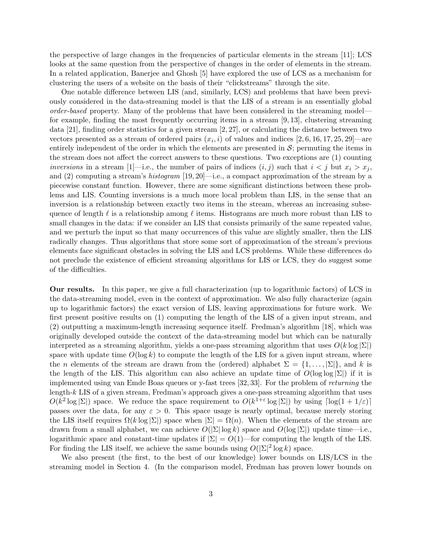the perspective of large changes in the frequencies of particular elements in the stream [11]; LCS looks at the same question from the perspective of changes in the order of elements in the stream. In a related application, Banerjee and Ghosh [5] have explored the use of LCS as a mechanism for clustering the users of a website on the basis of their "clickstreams" through the site.

One notable difference between LIS (and, similarly, LCS) and problems that have been previously considered in the data-streaming model is that the LIS of a stream is an essentially global order-based property. Many of the problems that have been considered in the streaming model for example, finding the most frequently occurring items in a stream  $[9, 13]$ , clustering streaming data [21], finding order statistics for a given stream  $[2, 27]$ , or calculating the distance between two vectors presented as a stream of ordered pairs  $(x_i, i)$  of values and indices  $[2, 6, 16, 17, 25, 29]$ —are entirely independent of the order in which the elements are presented in  $S$ ; permuting the items in the stream does not affect the correct answers to these questions. Two exceptions are (1) counting inversions in a stream [1]—i.e., the number of pairs of indices  $(i, j)$  such that  $i < j$  but  $x_i > x_j$ , and (2) computing a stream's histogram  $[19, 20]$ —i.e., a compact approximation of the stream by a piecewise constant function. However, there are some significant distinctions between these problems and LIS. Counting inversions is a much more local problem than LIS, in the sense that an inversion is a relationship between exactly two items in the stream, whereas an increasing subsequence of length  $\ell$  is a relationship among  $\ell$  items. Histograms are much more robust than LIS to small changes in the data: if we consider an LIS that consists primarily of the same repeated value, and we perturb the input so that many occurrences of this value are slightly smaller, then the LIS radically changes. Thus algorithms that store some sort of approximation of the stream's previous elements face significant obstacles in solving the LIS and LCS problems. While these differences do not preclude the existence of efficient streaming algorithms for LIS or LCS, they do suggest some of the difficulties.

Our results. In this paper, we give a full characterization (up to logarithmic factors) of LCS in the data-streaming model, even in the context of approximation. We also fully characterize (again up to logarithmic factors) the exact version of LIS, leaving approximations for future work. We first present positive results on (1) computing the length of the LIS of a given input stream, and (2) outputting a maximum-length increasing sequence itself. Fredman's algorithm [18], which was originally developed outside the context of the data-streaming model but which can be naturally interpreted as a streaming algorithm, yields a one-pass streaming algorithm that uses  $O(k \log |\Sigma|)$ space with update time  $O(\log k)$  to compute the length of the LIS for a given input stream, where the *n* elements of the stream are drawn from the (ordered) alphabet  $\Sigma = \{1, \ldots, |\Sigma|\}$ , and k is the length of the LIS. This algorithm can also achieve an update time of  $O(\log \log |\Sigma|)$  if it is implemented using van Emde Boas queues or y-fast trees [32, 33]. For the problem of returning the length-k LIS of a given stream, Fredman's approach gives a one-pass streaming algorithm that uses  $O(k^2 \log |\Sigma|)$  space. We reduce the space requirement to  $O(k^{1+\varepsilon} \log |\Sigma|)$  by using  $\lceil \log(1 + 1/\varepsilon) \rceil$ passes over the data, for any  $\varepsilon > 0$ . This space usage is nearly optimal, because merely storing the LIS itself requires  $\Omega(k \log |\Sigma|)$  space when  $|\Sigma| = \Omega(n)$ . When the elements of the stream are drawn from a small alphabet, we can achieve  $O(|\Sigma| \log k)$  space and  $O(\log |\Sigma|)$  update time—i.e., logarithmic space and constant-time updates if  $|\Sigma| = O(1)$ —for computing the length of the LIS. For finding the LIS itself, we achieve the same bounds using  $O(|\Sigma|^2 \log k)$  space.

We also present (the first, to the best of our knowledge) lower bounds on LIS/LCS in the streaming model in Section 4. (In the comparison model, Fredman has proven lower bounds on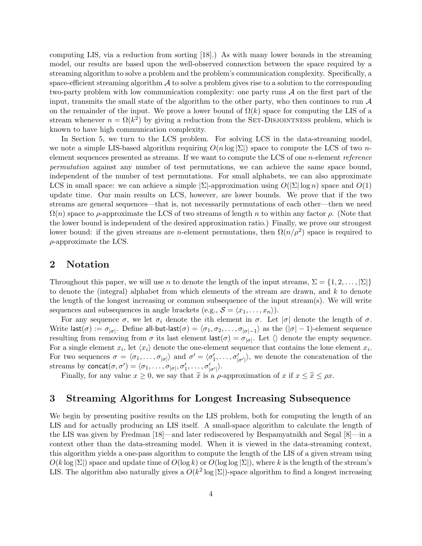computing LIS, via a reduction from sorting [18].) As with many lower bounds in the streaming model, our results are based upon the well-observed connection between the space required by a streaming algorithm to solve a problem and the problem's communication complexity. Specifically, a space-efficient streaming algorithm  $\mathcal A$  to solve a problem gives rise to a solution to the corresponding two-party problem with low communication complexity: one party runs A on the first part of the input, transmits the small state of the algorithm to the other party, who then continues to run  $\mathcal A$ on the remainder of the input. We prove a lower bound of  $\Omega(k)$  space for computing the LIS of a stream whenever  $n = \Omega(k^2)$  by giving a reduction from the SET-DISJOINTNESS problem, which is known to have high communication complexity.

In Section 5, we turn to the LCS problem. For solving LCS in the data-streaming model, we note a simple LIS-based algorithm requiring  $O(n \log |\Sigma|)$  space to compute the LCS of two nelement sequences presented as streams. If we want to compute the LCS of one  $n$ -element *reference* permutation against any number of test permutations, we can achieve the same space bound, independent of the number of test permutations. For small alphabets, we can also approximate LCS in small space: we can achieve a simple  $|\Sigma|$ -approximation using  $O(|\Sigma| \log n)$  space and  $O(1)$ update time. Our main results on LCS, however, are lower bounds. We prove that if the two streams are general sequences—that is, not necessarily permutations of each other—then we need  $\Omega(n)$  space to  $\rho$ -approximate the LCS of two streams of length n to within any factor  $\rho$ . (Note that the lower bound is independent of the desired approximation ratio.) Finally, we prove our strongest lower bound: if the given streams are *n*-element permutations, then  $\Omega(n/\rho^2)$  space is required to  $\rho$ -approximate the LCS.

## 2 Notation

Throughout this paper, we will use n to denote the length of the input streams,  $\Sigma = \{1, 2, \ldots, |\Sigma|\}$ to denote the (integral) alphabet from which elements of the stream are drawn, and k to denote the length of the longest increasing or common subsequence of the input stream(s). We will write sequences and subsequences in angle brackets (e.g.,  $S = \langle x_1, \ldots, x_n \rangle$ ).

For any sequence  $\sigma$ , we let  $\sigma_i$  denote the *i*th element in  $\sigma$ . Let  $|\sigma|$  denote the length of  $\sigma$ . Write last $(\sigma) := \sigma_{|\sigma|}$ . Define all-but-last $(\sigma) = \langle \sigma_1, \sigma_2, \ldots, \sigma_{|\sigma|-1} \rangle$  as the  $(|\sigma| - 1)$ -element sequence resulting from removing from  $\sigma$  its last element  $\textsf{last}(\sigma) = \sigma_{|\sigma|}$ . Let  $\langle \rangle$  denote the empty sequence. For a single element  $x_i$ , let  $\langle x_i \rangle$  denote the one-element sequence that contains the lone element  $x_i$ . For two sequences  $\sigma = \langle \sigma_1, \ldots, \sigma_{|\sigma|} \rangle$  and  $\sigma' = \langle \sigma'_1, \ldots, \sigma'_{|\sigma'|} \rangle$ , we denote the concatenation of the streams by  $\text{concat}(\sigma, \sigma') = \langle \sigma_1, \ldots, \sigma_{|\sigma|}, \sigma'_1, \ldots, \sigma'_{|\sigma'|} \rangle.$ 

Finally, for any value  $x \geq 0$ , we say that  $\tilde{x}$  is a *ρ*-approximation of x if  $x \leq \tilde{x} \leq \rho x$ .

## 3 Streaming Algorithms for Longest Increasing Subsequence

We begin by presenting positive results on the LIS problem, both for computing the length of an LIS and for actually producing an LIS itself. A small-space algorithm to calculate the length of the LIS was given by Fredman [18]—and later rediscovered by Bespamyatnikh and Segal [8]—in a context other than the data-streaming model. When it is viewed in the data-streaming context, this algorithm yields a one-pass algorithm to compute the length of the LIS of a given stream using  $O(k \log |\Sigma|)$  space and update time of  $O(\log k)$  or  $O(\log \log |\Sigma|)$ , where k is the length of the stream's LIS. The algorithm also naturally gives a  $O(k^2 \log |\Sigma|)$ -space algorithm to find a longest increasing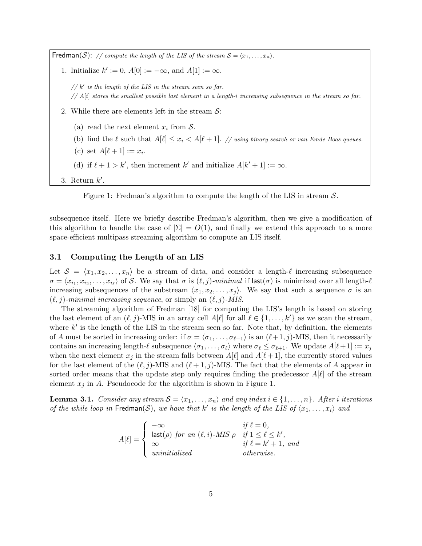**Fredman(S):** // compute the length of the LIS of the stream  $S = \langle x_1, \ldots, x_n \rangle$ .

1. Initialize  $k' := 0$ ,  $A[0] := -\infty$ , and  $A[1] := \infty$ .

 $// k'$  is the length of the LIS in the stream seen so far.  $//$  A[i] stores the smallest possible last element in a length-i increasing subsequence in the stream so far.

- 2. While there are elements left in the stream  $S$ :
	- (a) read the next element  $x_i$  from  $\mathcal{S}$ .
	- (b) find the  $\ell$  such that  $A[\ell] \leq x_i < A[\ell + 1]$ . // using binary search or van Emde Boas queues.
	- (c) set  $A[\ell + 1] := x_i$ .
	- (d) if  $\ell + 1 > k'$ , then increment k' and initialize  $A[k' + 1] := \infty$ .

3. Return  $k'$ .

Figure 1: Fredman's algorithm to compute the length of the LIS in stream S.

subsequence itself. Here we briefly describe Fredman's algorithm, then we give a modification of this algorithm to handle the case of  $|\Sigma| = O(1)$ , and finally we extend this approach to a more space-efficient multipass streaming algorithm to compute an LIS itself.

#### 3.1 Computing the Length of an LIS

Let  $S = \langle x_1, x_2, \ldots, x_n \rangle$  be a stream of data, and consider a length- $\ell$  increasing subsequence  $\sigma = \langle x_{i_1}, x_{i_2}, \dots, x_{i_\ell} \rangle$  of S. We say that  $\sigma$  is  $(\ell, j)$ -minimal if  $\mathsf{last}(\sigma)$  is minimized over all length- $\ell$ increasing subsequences of the substream  $\langle x_1, x_2, \ldots, x_j \rangle$ . We say that such a sequence  $\sigma$  is an  $(\ell, j)$ -minimal increasing sequence, or simply an  $(\ell, j)$ -MIS.

The streaming algorithm of Fredman [18] for computing the LIS's length is based on storing the last element of an  $(\ell, j)$ -MIS in an array cell  $A[\ell]$  for all  $\ell \in \{1, \ldots, k'\}$  as we scan the stream, where  $k'$  is the length of the LIS in the stream seen so far. Note that, by definition, the elements of A must be sorted in increasing order: if  $\sigma = \langle \sigma_1, \ldots, \sigma_{\ell+1} \rangle$  is an  $(\ell+1, j)$ -MIS, then it necessarily contains an increasing length- $\ell$  subsequence  $\langle \sigma_1, \ldots, \sigma_\ell \rangle$  where  $\sigma_\ell \leq \sigma_{\ell+1}$ . We update  $A[\ell+1] := x_j$ when the next element  $x_j$  in the stream falls between  $A[\ell]$  and  $A[\ell + 1]$ , the currently stored values for the last element of the  $(\ell, j)$ -MIS and  $(\ell + 1, j)$ -MIS. The fact that the elements of A appear in sorted order means that the update step only requires finding the predecessor  $A[\ell]$  of the stream element  $x_i$  in A. Pseudocode for the algorithm is shown in Figure 1.

**Lemma 3.1.** Consider any stream  $S = \langle x_1, \ldots, x_n \rangle$  and any index  $i \in \{1, \ldots, n\}$ . After i iterations of the while loop in  $Fredman(S)$ , we have that k' is the length of the LIS of  $\langle x_1, \ldots, x_i \rangle$  and

$$
A[\ell] = \begin{cases} -\infty & \text{if } \ell = 0, \\ \text{ last}(\rho) \text{ for an } (\ell, i)\text{-MIS } \rho & \text{if } 1 \le \ell \le k', \\ \infty & \text{if } \ell = k' + 1, \text{ and } \\ \text{uninitialized} & \text{otherwise.} \end{cases}
$$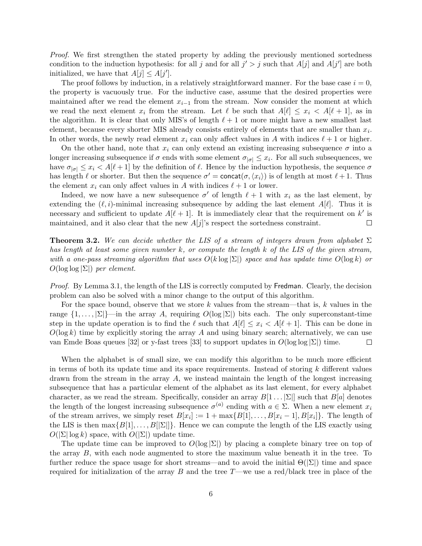Proof. We first strengthen the stated property by adding the previously mentioned sortedness condition to the induction hypothesis: for all j and for all  $j' > j$  such that  $A[j]$  and  $A[j']$  are both initialized, we have that  $A[j] \leq A[j']$ .

The proof follows by induction, in a relatively straightforward manner. For the base case  $i = 0$ , the property is vacuously true. For the inductive case, assume that the desired properties were maintained after we read the element  $x_{i-1}$  from the stream. Now consider the moment at which we read the next element  $x_i$  from the stream. Let  $\ell$  be such that  $A[\ell] \leq x_i < A[\ell + 1]$ , as in the algorithm. It is clear that only MIS's of length  $\ell + 1$  or more might have a new smallest last element, because every shorter MIS already consists entirely of elements that are smaller than  $x_i$ . In other words, the newly read element  $x_i$  can only affect values in A with indices  $\ell + 1$  or higher.

On the other hand, note that  $x_i$  can only extend an existing increasing subsequence  $\sigma$  into a longer increasing subsequence if  $\sigma$  ends with some element  $\sigma_{|\sigma|} \leq x_i$ . For all such subsequences, we have  $\sigma_{|\sigma|} \leq x_i \leq A[\ell + 1]$  by the definition of  $\ell$ . Hence by the induction hypothesis, the sequence  $\sigma$ has length  $\ell$  or shorter. But then the sequence  $\sigma' = \text{concat}(\sigma, \langle x_i \rangle)$  is of length at most  $\ell + 1$ . Thus the element  $x_i$  can only affect values in A with indices  $\ell + 1$  or lower.

Indeed, we now have a new subsequence  $\sigma'$  of length  $\ell + 1$  with  $x_i$  as the last element, by extending the  $(\ell, i)$ -minimal increasing subsequence by adding the last element  $A[\ell]$ . Thus it is necessary and sufficient to update  $A[\ell + 1]$ . It is immediately clear that the requirement on k' is maintained, and it also clear that the new  $A[j]$ 's respect the sortedness constraint.  $\Box$ 

**Theorem 3.2.** We can decide whether the LIS of a stream of integers drawn from alphabet  $\Sigma$ has length at least some given number  $k$ , or compute the length  $k$  of the LIS of the given stream, with a one-pass streaming algorithm that uses  $O(k \log |\Sigma|)$  space and has update time  $O(\log k)$  or  $O(\log \log |\Sigma|)$  per element.

Proof. By Lemma 3.1, the length of the LIS is correctly computed by Fredman. Clearly, the decision problem can also be solved with a minor change to the output of this algorithm.

For the space bound, observe that we store k values from the stream—that is, k values in the range  $\{1,\ldots,\vert\Sigma\}\$ —in the array A, requiring  $O(\log\vert\Sigma\vert)$  bits each. The only superconstant-time step in the update operation is to find the  $\ell$  such that  $A[\ell] \leq x_i < A[\ell + 1]$ . This can be done in  $O(\log k)$  time by explicitly storing the array A and using binary search; alternatively, we can use van Emde Boas queues [32] or y-fast trees [33] to support updates in  $O(\log \log |\Sigma|)$  time.  $\Box$ 

When the alphabet is of small size, we can modify this algorithm to be much more efficient in terms of both its update time and its space requirements. Instead of storing  $k$  different values drawn from the stream in the array  $A$ , we instead maintain the length of the longest increasing subsequence that has a particular element of the alphabet as its last element, for every alphabet character, as we read the stream. Specifically, consider an array  $B[1 \dots |\Sigma|]$  such that  $B[a]$  denotes the length of the longest increasing subsequence  $\sigma^{(a)}$  ending with  $a \in \Sigma$ . When a new element  $x_i$ of the stream arrives, we simply reset  $B[x_i] := 1 + \max\{B[1], \ldots, B[x_i - 1], B[x_i]\}.$  The length of the LIS is then  $\max\{B[1], \ldots, B[|\Sigma|\}$ . Hence we can compute the length of the LIS exactly using  $O(|\Sigma| \log k)$  space, with  $O(|\Sigma|)$  update time.

The update time can be improved to  $O(\log |\Sigma|)$  by placing a complete binary tree on top of the array B, with each node augmented to store the maximum value beneath it in the tree. To further reduce the space usage for short streams—and to avoid the initial  $\Theta(|\Sigma|)$  time and space required for initialization of the array B and the tree  $T$ —we use a red/black tree in place of the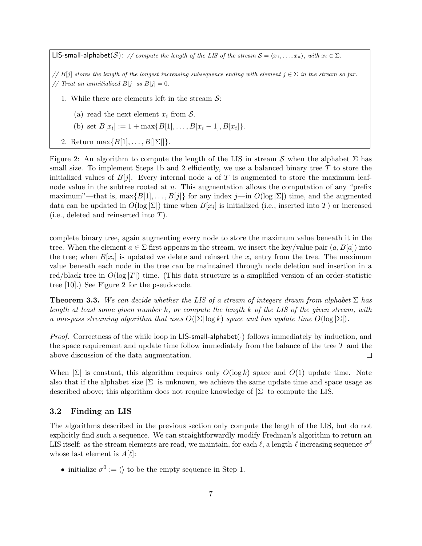LIS-small-alphabet(S): // compute the length of the LIS of the stream  $S = \langle x_1, \ldots, x_n \rangle$ , with  $x_i \in \Sigma$ .

//  $B[j]$  stores the length of the longest increasing subsequence ending with element  $j \in \Sigma$  in the stream so far. // Treat an uninitialized  $B[j]$  as  $B[j] = 0$ .

1. While there are elements left in the stream  $S$ :

- (a) read the next element  $x_i$  from  $\mathcal{S}$ .
- (b) set  $B[x_i] := 1 + \max\{B[1], \ldots, B[x_i-1], B[x_i]\}.$
- 2. Return max $\{B[1], \ldots, B[|\Sigma|]\}.$

Figure 2: An algorithm to compute the length of the LIS in stream S when the alphabet  $\Sigma$  has small size. To implement Steps 1b and 2 efficiently, we use a balanced binary tree  $T$  to store the initialized values of  $B[j]$ . Every internal node u of T is augmented to store the maximum leafnode value in the subtree rooted at u. This augmentation allows the computation of any "prefix" maximum"—that is,  $\max\{B[1], \ldots, B[j]\}\$  for any index j—in  $O(\log |\Sigma|)$  time, and the augmented data can be updated in  $O(\log |\Sigma|)$  time when  $B[x_i]$  is initialized (i.e., inserted into T) or increased (i.e., deleted and reinserted into  $T$ ).

complete binary tree, again augmenting every node to store the maximum value beneath it in the tree. When the element  $a \in \Sigma$  first appears in the stream, we insert the key/value pair  $(a, B[a])$  into the tree; when  $B[x_i]$  is updated we delete and reinsert the  $x_i$  entry from the tree. The maximum value beneath each node in the tree can be maintained through node deletion and insertion in a red/black tree in  $O(\log |T|)$  time. (This data structure is a simplified version of an order-statistic tree [10].) See Figure 2 for the pseudocode.

**Theorem 3.3.** We can decide whether the LIS of a stream of integers drawn from alphabet  $\Sigma$  has length at least some given number  $k$ , or compute the length  $k$  of the LIS of the given stream, with a one-pass streaming algorithm that uses  $O(|\Sigma| \log k)$  space and has update time  $O(\log |\Sigma|)$ .

*Proof.* Correctness of the while loop in LIS-small-alphabet( $\cdot$ ) follows immediately by induction, and the space requirement and update time follow immediately from the balance of the tree  $T$  and the above discussion of the data augmentation.  $\Box$ 

When  $|\Sigma|$  is constant, this algorithm requires only  $O(\log k)$  space and  $O(1)$  update time. Note also that if the alphabet size  $|\Sigma|$  is unknown, we achieve the same update time and space usage as described above; this algorithm does not require knowledge of  $|\Sigma|$  to compute the LIS.

#### 3.2 Finding an LIS

The algorithms described in the previous section only compute the length of the LIS, but do not explicitly find such a sequence. We can straightforwardly modify Fredman's algorithm to return an LIS itself: as the stream elements are read, we maintain, for each  $\ell$ , a length- $\ell$  increasing sequence  $\sigma^{\ell}$ whose last element is  $A[\ell]$ :

• initialize  $\sigma^0 := \langle \rangle$  to be the empty sequence in Step 1.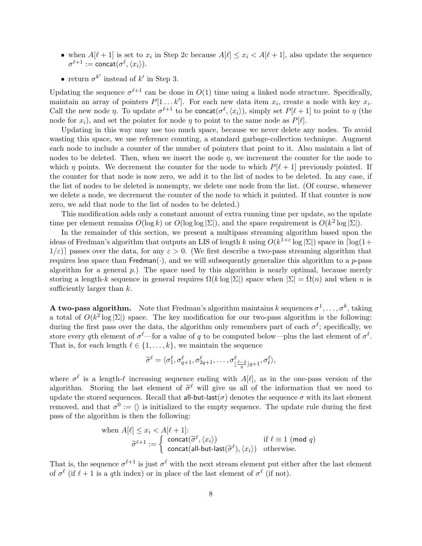- when  $A[\ell + 1]$  is set to  $x_i$  in Step 2c because  $A[\ell] \leq x_i < A[\ell + 1]$ , also update the sequence  $\sigma^{\ell+1} := \mathsf{concat}(\sigma^\ell, \langle x_i \rangle).$
- return  $\sigma^{k'}$  instead of  $k'$  in Step 3.

Updating the sequence  $\sigma^{\ell+1}$  can be done in  $O(1)$  time using a linked node structure. Specifically, maintain an array of pointers  $P[1...k']$ . For each new data item  $x_i$ , create a node with key  $x_i$ . Call the new node  $\eta$ . To update  $\sigma^{\ell+1}$  to be concat $(\sigma^{\ell}, \langle x_i \rangle)$ , simply set  $P[\ell+1]$  to point to  $\eta$  (the node for  $x_i$ ), and set the pointer for node  $\eta$  to point to the same node as  $P[\ell]$ .

Updating in this way may use too much space, because we never delete any nodes. To avoid wasting this space, we use reference counting, a standard garbage-collection technique. Augment each node to include a counter of the number of pointers that point to it. Also maintain a list of nodes to be deleted. Then, when we insert the node  $\eta$ , we increment the counter for the node to which  $\eta$  points. We decrement the counter for the node to which  $P[\ell + 1]$  previously pointed. If the counter for that node is now zero, we add it to the list of nodes to be deleted. In any case, if the list of nodes to be deleted is nonempty, we delete one node from the list. (Of course, whenever we delete a node, we decrement the counter of the node to which it pointed. If that counter is now zero, we add that node to the list of nodes to be deleted.)

This modification adds only a constant amount of extra running time per update, so the update time per element remains  $O(\log k)$  or  $O(\log \log |\Sigma|)$ , and the space requirement is  $O(k^2 \log |\Sigma|)$ .

In the remainder of this section, we present a multipass streaming algorithm based upon the ideas of Fredman's algorithm that outputs an LIS of length k using  $O(k^{1+\varepsilon} \log |\Sigma|)$  space in  $\lceil \log(1 +$  $1/\varepsilon$ ) passes over the data, for any  $\varepsilon > 0$ . (We first describe a two-pass streaming algorithm that requires less space than  $Fredman(\cdot)$ , and we will subsequently generalize this algorithm to a p-pass algorithm for a general  $p$ .) The space used by this algorithm is nearly optimal, because merely storing a length-k sequence in general requires  $\Omega(k \log |\Sigma|)$  space when  $|\Sigma| = \Omega(n)$  and when n is sufficiently larger than  $k$ .

**A two-pass algorithm.** Note that Fredman's algorithm maintains k sequences  $\sigma^1, \ldots, \sigma^k$ , taking a total of  $O(k^2 \log |\Sigma|)$  space. The key modification for our two-pass algorithm is the following: during the first pass over the data, the algorithm only remembers part of each  $\sigma^{\ell}$ ; specifically, we store every qth element of  $\sigma^{\ell}$ —for a value of q to be computed below—plus the last element of  $\sigma^{\ell}$ . That is, for each length  $\ell \in \{1, \ldots, k\}$ , we maintain the sequence

$$
\widetilde{\sigma}^{\ell} = \langle \sigma_1^{\ell}, \sigma_{q+1}^{\ell}, \sigma_{2q+1}^{\ell}, \dots, \sigma_{\lfloor \frac{\ell-2}{q} \rfloor q+1}^{\ell}, \sigma_{\ell}^{\ell} \rangle,
$$

where  $\sigma^{\ell}$  is a length- $\ell$  increasing sequence ending with  $A[\ell]$ , as in the one-pass version of the algorithm. Storing the last element of  $\tilde{\sigma}^{\ell}$  will give us all of the information that we need to update the stored sequences. Recall that all-but-last( $\sigma$ ) denotes the sequence  $\sigma$  with its last element removed, and that  $\sigma^0 := \langle \rangle$  is initialized to the empty sequence. The update rule during the first pass of the algorithm is then the following:

when 
$$
A[\ell] \le x_i < A[\ell+1]
$$
:  
\n
$$
\widetilde{\sigma}^{\ell+1} := \begin{cases}\n\text{concat}(\widetilde{\sigma}^{\ell}, \langle x_i \rangle) & \text{if } \ell \equiv 1 \pmod{q} \\
\text{concat}(\text{all-but-last}(\widetilde{\sigma}^{\ell}), \langle x_i \rangle) & \text{otherwise.}\n\end{cases}
$$

That is, the sequence  $\sigma^{\ell+1}$  is just  $\sigma^{\ell}$  with the next stream element put either after the last element of  $\sigma^{\ell}$  (if  $\ell + 1$  is a qth index) or in place of the last element of  $\sigma^{\ell}$  (if not).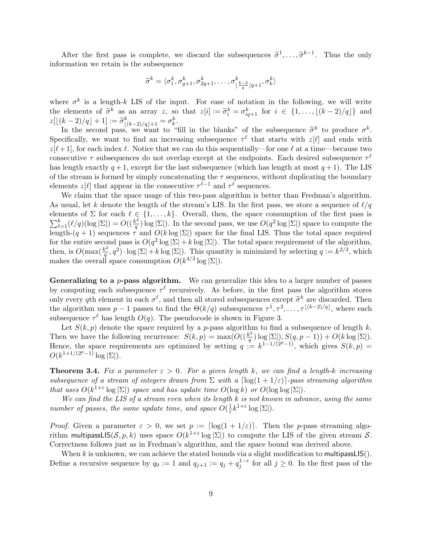After the first pass is complete, we discard the subsequences  $\tilde{\sigma}^1, \ldots, \tilde{\sigma}^{k-1}$ . Thus the only information we retain is the subsequence

$$
\widetilde{\sigma}^k = \langle \sigma^k_1, \sigma^k_{q+1}, \sigma^k_{2q+1}, \dots, \sigma^k_{\lfloor \frac{k-2}{q} \rfloor q+1}, \sigma^k_k \rangle
$$

where  $\sigma^k$  is a length-k LIS of the input. For ease of notation in the following, we will write the elements of  $\tilde{\sigma}^k$  as an array z, so that  $z[i] := \tilde{\sigma}_i^k = \sigma_{iq+1}^k$  for  $i \in \{1, ..., \lfloor (k-2)/q \rfloor\}$  and  $z[\lfloor (k-2)/q \rfloor + 1] := \widetilde{\sigma}^k_{\lfloor (k-2)/q \rfloor + 1} = \sigma^k_{k}$ 

In the second pass, we want to "fill in the blanks" of the subsequence  $\tilde{\sigma}^k$  to produce  $\sigma^k$ . Specifically, we want to find an increasing subsequence  $\tau^{\ell}$  that starts with  $z[\ell]$  and ends with  $z[\ell+1]$ , for each index  $\ell$ . Notice that we can do this sequentially—for one  $\ell$  at a time—because two consecutive  $\tau$  subsequences do not overlap except at the endpoints. Each desired subsequence  $\tau^{\ell}$ has length exactly  $q+1$ , except for the last subsequence (which has length at most  $q+1$ ). The LIS of the stream is formed by simply concatenating the  $\tau$  sequences, without duplicating the boundary elements  $z[\ell]$  that appear in the consecutive  $\tau^{\ell-1}$  and  $\tau^{\ell}$  sequences.

We claim that the space usage of this two-pass algorithm is better than Fredman's algorithm. As usual, let k denote the length of the stream's LIS. In the first pass, we store a sequence of  $\ell/q$ elements of  $\Sigma$  for each  $\ell \in \{1, ..., k\}$ . Overall, then, the space consumption of the first pass is  $\sum_{\ell=1}^k (\ell/q)(\log |\Sigma|) = O((\frac{k^2}{q})\log |\Sigma|)$ . In the second pass, we use  $O(q^2 \log |\Sigma|)$  space to compute the  $\frac{q^2}{q}$ ) log  $|\Sigma|$ ). In the second pass, we use  $O(q^2 \log |\Sigma|)$  space to compute the length- $(q + 1)$  sequences  $\tau$  and  $O(k \log |\Sigma|)$  space for the final LIS. Thus the total space required for the entire second pass is  $O(q^2 \log |\Sigma| + k \log |\Sigma|)$ . The total space requirement of the algorithm, then, is  $O(\max(\frac{k^2}{q}, q^2) \cdot \log |\Sigma| + k \log |\Sigma|)$ . This quantity is minimized by selecting  $q := k^{2/3}$ , which makes the overall space consumption  $O(k^{4/3} \log |\Sigma|)$ .

**Generalizing to a**  $p$ **-pass algorithm.** We can generalize this idea to a larger number of passes by computing each subsequence  $\tau^{\ell}$  recursively. As before, in the first pass the algorithm stores only every qth element in each  $\sigma^{\ell}$ , and then all stored subsequences except  $\tilde{\sigma}^{k}$  are discarded. Then the algorithm uses  $p-1$  passes to find the  $\Theta(k/q)$  subsequences  $\tau^1, \tau^2, \ldots, \tau^{\lfloor (k-2)/q \rfloor}$ , where each subsequence  $\tau^{\ell}$  has length  $O(q)$ . The pseudocode is shown in Figure 3.

Let  $S(k, p)$  denote the space required by a p-pass algorithm to find a subsequence of length k. Then we have the following recurrence:  $S(k, p) = \max(O((\frac{k^2}{q}))$  $\frac{q^2}{q}$ ) log  $|\Sigma|$ ),  $S(q, p - 1)$ ) +  $O(k \log |\Sigma|)$ . Hence, the space requirements are optimized by setting  $q := k^{1-1/(2p-1)}$ , which gives  $S(k, p) =$  $O(k^{1+1/(2^p-1)}\log|\Sigma|).$ 

**Theorem 3.4.** Fix a parameter  $\varepsilon > 0$ . For a given length k, we can find a length-k increasing subsequence of a stream of integers drawn from  $\Sigma$  with a  $\lceil \log(1 + 1/\varepsilon) \rceil$ -pass streaming algorithm that uses  $O(k^{1+\varepsilon} \log |\Sigma|)$  space and has update time  $O(\log k)$  or  $O(\log \log |\Sigma|)$ .

We can find the LIS of a stream even when its length  $k$  is not known in advance, using the same number of passes, the same update time, and space  $O(\frac{1}{\varepsilon})$  $\frac{1}{\varepsilon}k^{1+\varepsilon}\log|\Sigma|$ ).

*Proof.* Given a parameter  $\varepsilon > 0$ , we set  $p := \lfloor \log(1 + 1/\varepsilon) \rfloor$ . Then the *p*-pass streaming algorithm multipassLIS( $S, p, k$ ) uses space  $O(k^{1+\varepsilon} \log |\Sigma|)$  to compute the LIS of the given stream  $S$ . Correctness follows just as in Fredman's algorithm, and the space bound was derived above.

When k is unknown, we can achieve the stated bounds via a slight modification to multipassLIS $()$ . Define a recursive sequence by  $q_0 := 1$  and  $q_{j+1} := q_j + q_j^{1-\epsilon}$  for all  $j \geq 0$ . In the first pass of the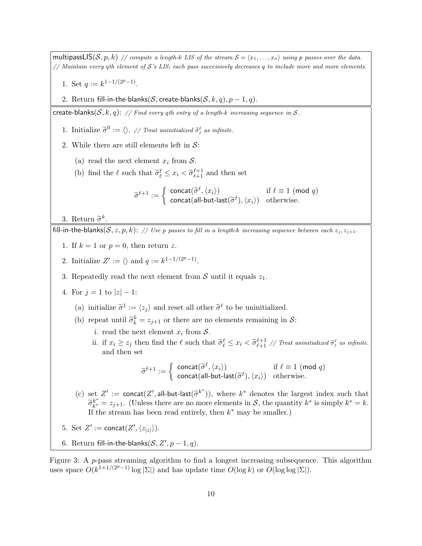multipassLIS(S, p, k) // compute a length-k LIS of the stream  $S = \langle x_1, \ldots, x_n \rangle$  using p passes over the data. // Maintain every qth element of S's LIS; each pass successively decreases q to include more and more elements.

- 1. Set  $q := k^{1-1/(2^p-1)}$ .
- 2. Return fill-in-the-blanks(S, create-blanks(S, k, q),  $p-1$ , q).

create-blanks( $S, k, q$ ): // Find every qth entry of a length-k increasing sequence in S.

1. Initialize  $\widetilde{\sigma}^0 := \langle \rangle$ . // Treat uninitialized  $\widetilde{\sigma}_j^{\ell}$  as infinite.

2. While there are still elements left in  $\mathcal{S}$ :

- (a) read the next element  $x_i$  from  $\mathcal{S}$ .
- (b) find the  $\ell$  such that  $\tilde{\sigma}_{\ell}^{\ell} \leq x_i < \tilde{\sigma}_{\ell+1}^{\ell+1}$  and then set

$$
\widetilde{\sigma}^{\ell+1}:=\left\{\begin{array}{ll}\text{concat}(\widetilde{\sigma}^\ell,\langle x_i\rangle) & \text{if } \ell\equiv 1\;(\text{mod }q) \\ \text{concat}(\text{all-but-last}(\widetilde{\sigma}^\ell),\langle x_i\rangle) & \text{otherwise.}\end{array}\right.
$$

3. Return  $\widetilde{\sigma}^k$ .

fill-in-the-blanks( $S, z, p, k$ ): // Use p passes to fill in a length-k increasing sequence between each  $z_j, z_{j+1}$ .

- 1. If  $k = 1$  or  $p = 0$ , then return z.
- 2. Initialize  $Z' := \langle \rangle$  and  $q := k^{1-1/(2^p-1)}$ .
- 3. Repeatedly read the next element from  $S$  until it equals  $z_1$ .

4. For 
$$
j = 1
$$
 to  $|z| - 1$ :

- (a) initialize  $\tilde{\sigma}^1 := \langle z_j \rangle$  and reset all other  $\tilde{\sigma}^{\ell}$  to be uninitialized.
- (b) repeat until  $\tilde{\sigma}_k^k = z_{j+1}$  or there are no elements remaining in  $S$ :
	- i. read the next element  $x_i$  from  $S$ .
	- ii. if  $x_i \ge z_j$  then find the  $\ell$  such that  $\tilde{\sigma}^{\ell}_{\ell} \le x_i < \tilde{\sigma}^{\ell+1}_{\ell+1}$  // Treat uninitialized  $\tilde{\sigma}^{\ell}_j$  as infinite. and then set

$$
\widetilde{\sigma}^{\ell+1}:=\left\{\begin{array}{ll}\text{concat}(\widetilde{\sigma}^\ell,\langle x_i\rangle) & \text{if } \ell\equiv 1\ (\text{mod}\ q) \\ \text{concat}(\text{all-but-last}(\widetilde{\sigma}^\ell),\langle x_i\rangle) & \text{otherwise.}\end{array}\right.
$$

- (c) set  $Z' := \text{concat}(Z', \text{all-but-last}(\tilde{\sigma}^{k^*}))$ , where  $k^*$  denotes the largest index such that  $\widetilde{\sigma}_{k^*}^{k^*}$  $k^*_{k^*} = z_{j+1}$ . (Unless there are no more elements in S, the quantity  $k^*$  is simply  $k^* = k$ . If the stream has been read entirely, then  $k^*$  may be smaller.)
- 5. Set  $Z' := \text{concat}(Z', \langle z_{|z|} \rangle)$ .
- 6. Return fill-in-the-blanks $(S, Z', p-1, q)$ .

Figure 3: A p-pass streaming algorithm to find a longest increasing subsequence. This algorithm uses space  $O(k^{1+1/(2^p-1)}\log|\Sigma|)$  and has update time  $O(\log k)$  or  $O(\log \log |\Sigma|)$ .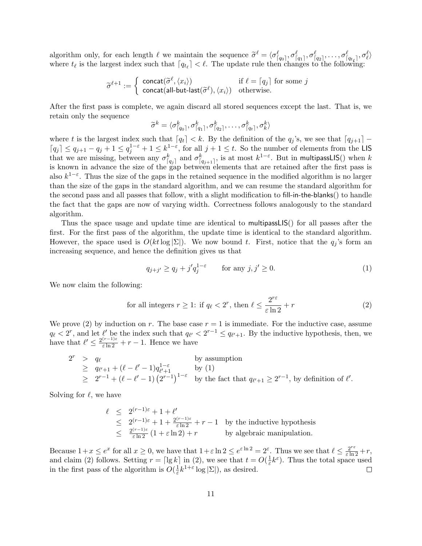algorithm only, for each length  $\ell$  we maintain the sequence  $\tilde{\sigma}^{\ell} = \langle \sigma^{\ell}_{[q_0]}, \sigma^{\ell}_{[q_1]}, \sigma^{\ell}_{[q_2]}, \ldots, \sigma^{\ell}_{[q_{t_\ell}]}, \sigma^{\ell}_{\ell} \rangle$ where  $t_\ell$  is the largest index such that  $\lceil q_{t_\ell} \rceil < \ell$ . The update rule then changes to the following:

$$
\widetilde{\sigma}^{\ell+1}:=\left\{\begin{array}{ll}\text{concat}(\widetilde{\sigma}^\ell,\langle x_i\rangle) & \text{if } \ell=\lceil q_j\rceil \text{ for some }j\\ \text{concat}(\text{all-but-last}(\widetilde{\sigma}^\ell),\langle x_i\rangle) & \text{otherwise.}\end{array}\right.
$$

After the first pass is complete, we again discard all stored sequences except the last. That is, we retain only the sequence

$$
\widetilde{\sigma}^k = \langle \sigma_{\lceil q_0 \rceil}^k, \sigma_{\lceil q_1 \rceil}^k, \sigma_{\lceil q_2 \rceil}^k, \dots, \sigma_{\lceil q_t \rceil}^k, \sigma_k^k \rangle
$$

where t is the largest index such that  $\lceil q_t \rceil < k$ . By the definition of the  $q_j$ 's, we see that  $\lceil q_{j+1} \rceil \lceil q_j \rceil \leq q_{j+1} - q_j + 1 \leq q_j^{1-\varepsilon} + 1 \leq k^{1-\varepsilon}$ , for all  $j+1 \leq t$ . So the number of elements from the LIS that we are missing, between any  $\sigma_{[q_j]}^k$  and  $\sigma_{[q_{j+1}]}^k$ , is at most  $k^{1-\varepsilon}$ . But in multipassLIS() when k is known in advance the size of the gap between elements that are retained after the first pass is also  $k^{1-\epsilon}$ . Thus the size of the gaps in the retained sequence in the modified algorithm is no larger than the size of the gaps in the standard algorithm, and we can resume the standard algorithm for the second pass and all passes that follow, with a slight modification to fill-in-the-blanks() to handle the fact that the gaps are now of varying width. Correctness follows analogously to the standard algorithm.

Thus the space usage and update time are identical to multipassLIS() for all passes after the first. For the first pass of the algorithm, the update time is identical to the standard algorithm. However, the space used is  $O(kt \log |\Sigma|)$ . We now bound t. First, notice that the  $q_i$ 's form an increasing sequence, and hence the definition gives us that

$$
q_{j+j'} \ge q_j + j' q_j^{1-\varepsilon} \qquad \text{for any } j, j' \ge 0.
$$
 (1)

We now claim the following:

for all integers 
$$
r \ge 1
$$
: if  $q_{\ell} < 2^r$ , then  $\ell \le \frac{2^{r\varepsilon}}{\varepsilon \ln 2} + r$  (2)

We prove (2) by induction on r. The base case  $r = 1$  is immediate. For the inductive case, assume  $q_{\ell} < 2^r$ , and let  $\ell'$  be the index such that  $q_{\ell'} < 2^{r-1} \leq q_{\ell'+1}$ . By the inductive hypothesis, then, we have that  $\ell' \leq \frac{2^{(r-1)\varepsilon}}{\varepsilon \ln 2} + r - 1$ . Hence we have

$$
2^{r} > q_{\ell}
$$
  
\n
$$
\geq q_{\ell+1} + (\ell - \ell' - 1)q_{\ell+1}^{1-\varepsilon}
$$
 by assumption  
\n
$$
\geq 2^{r-1} + (\ell - \ell' - 1) (2^{r-1})^{1-\varepsilon}
$$
 by the fact that  $q_{\ell+1} \geq 2^{r-1}$ , by definition of  $\ell'$ .

Solving for  $\ell$ , we have

$$
\ell \leq 2^{(r-1)\varepsilon} + 1 + \ell' \leq 2^{(r-1)\varepsilon} + 1 + \frac{2^{(r-1)\varepsilon}}{\varepsilon \ln 2} + r - 1
$$
 by the inductive hypothesis  
\n
$$
\leq \frac{2^{(r-1)\varepsilon}}{\varepsilon \ln 2} (1 + \varepsilon \ln 2) + r
$$
 by algebraic manipulation.

Because  $1+x \leq e^x$  for all  $x \geq 0$ , we have that  $1+\varepsilon \ln 2 \leq e^{\varepsilon \ln 2} = 2^{\varepsilon}$ . Thus we see that  $\ell \leq \frac{2^{r\varepsilon}}{\varepsilon \ln 2} + r$ , and claim (2) follows. Setting  $r = \lceil \lg k \rceil$  in (2), we see that  $t = O(\frac{1}{\varepsilon})$  $\frac{1}{\varepsilon}k^{\varepsilon}$ ). Thus the total space used in the first pass of the algorithm is  $O(\frac{1}{\varepsilon})$  $\frac{1}{\varepsilon}k^{1+\varepsilon}\log|\Sigma|$ , as desired.  $\Box$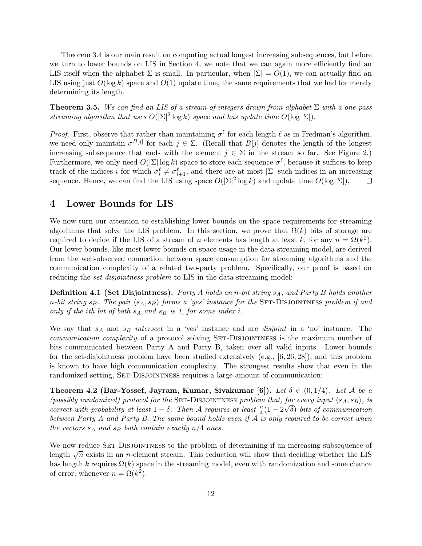Theorem 3.4 is our main result on computing actual longest increasing subsequences, but before we turn to lower bounds on LIS in Section 4, we note that we can again more efficiently find an LIS itself when the alphabet  $\Sigma$  is small. In particular, when  $|\Sigma| = O(1)$ , we can actually find an LIS using just  $O(\log k)$  space and  $O(1)$  update time, the same requirements that we had for merely determining its length.

**Theorem 3.5.** We can find an LIS of a stream of integers drawn from alphabet  $\Sigma$  with a one-pass streaming algorithm that uses  $O(|\Sigma|^2 \log k)$  space and has update time  $O(\log |\Sigma|)$ .

*Proof.* First, observe that rather than maintaining  $\sigma^{\ell}$  for each length  $\ell$  as in Fredman's algorithm, we need only maintain  $\sigma^{B[j]}$  for each  $j \in \Sigma$ . (Recall that  $B[j]$  denotes the length of the longest increasing subsequence that ends with the element  $j \in \Sigma$  in the stream so far. See Figure 2.) Furthermore, we only need  $O(|\Sigma| \log k)$  space to store each sequence  $\sigma^{\ell}$ , because it suffices to keep track of the indices i for which  $\sigma_i^{\ell} \neq \sigma_{i+1}^{\ell}$ , and there are at most  $|\Sigma|$  such indices in an increasing sequence. Hence, we can find the LIS using space  $O(|\Sigma|^2 \log k)$  and update time  $O(\log |\Sigma|)$ .

## 4 Lower Bounds for LIS

We now turn our attention to establishing lower bounds on the space requirements for streaming algorithms that solve the LIS problem. In this section, we prove that  $\Omega(k)$  bits of storage are required to decide if the LIS of a stream of n elements has length at least k, for any  $n = \Omega(k^2)$ . Our lower bounds, like most lower bounds on space usage in the data-streaming model, are derived from the well-observed connection between space consumption for streaming algorithms and the communication complexity of a related two-party problem. Specifically, our proof is based on reducing the *set-disjointness problem* to LIS in the data-streaming model:

**Definition 4.1 (Set Disjointness).** Party A holds an n-bit string  $s_A$ , and Party B holds another n-bit string  $s_B$ . The pair  $\langle s_A, s_B \rangle$  forms a 'yes' instance for the SET-DISJOINTNESS problem if and only if the ith bit of both  $s_A$  and  $s_B$  is 1, for some index i.

We say that  $s_A$  and  $s_B$  intersect in a 'yes' instance and are *disjoint* in a 'no' instance. The communication complexity of a protocol solving SET-DISJOINTNESS is the maximum number of bits communicated between Party A and Party B, taken over all valid inputs. Lower bounds for the set-disjointness problem have been studied extensively (e.g., [6, 26, 28]), and this problem is known to have high communication complexity. The strongest results show that even in the randomized setting, SET-DISJOINTNESS requires a large amount of communication:

Theorem 4.2 (Bar-Yossef, Jayram, Kumar, Sivakumar [6]). Let  $\delta \in (0, 1/4)$ . Let  $\mathcal A$  be a (possibly randomized) protocol for the SET-DISJOINTNESS problem that, for every input  $\langle s_A, s_B \rangle$ , is correct with probability at least  $1 - \delta$ . Then A requires at least  $\frac{n}{4}(1 - 2\sqrt{\delta})$  bits of communication between Party  $A$  and Party  $B$ . The same bound holds even if  $A$  is only required to be correct when the vectors  $s_A$  and  $s_B$  both contain exactly  $n/4$  ones.

We now reduce SET-DISJOINTNESS to the problem of determining if an increasing subsequence of length  $\sqrt{n}$  exists in an *n*-element stream. This reduction will show that deciding whether the LIS has length k requires  $\Omega(k)$  space in the streaming model, even with randomization and some chance of error, whenever  $n = \Omega(k^2)$ .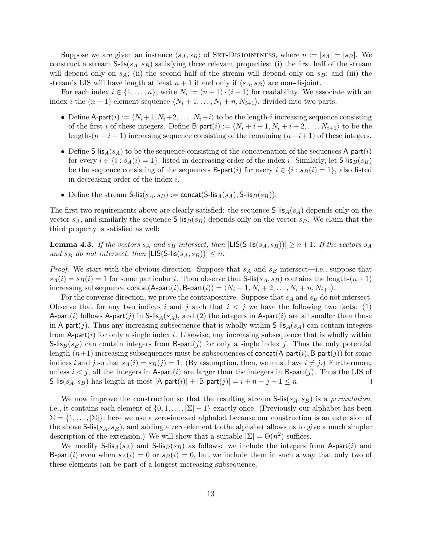Suppose we are given an instance  $\langle s_A, s_B \rangle$  of SET-DISJOINTNESS, where  $n := |s_A| = |s_B|$ . We construct a stream  $\mathsf{S}\text{-}\mathsf{lis}(s_A, s_B)$  satisfying three relevant properties: (i) the first half of the stream will depend only on  $s_A$ ; (ii) the second half of the stream will depend only on  $s_B$ ; and (iii) the stream's LIS will have length at least  $n + 1$  if and only if  $\langle s_A, s_B \rangle$  are non-disjoint.

For each index  $i \in \{1, \ldots, n\}$ , write  $N_i := (n+1) \cdot (i-1)$  for readability. We associate with an index *i* the  $(n + 1)$ -element sequence  $\langle N_i + 1, \ldots, N_i + n, N_{i+1} \rangle$ , divided into two parts.

- Define A-part $(i) := \langle N_i+1, N_i+2, \ldots, N_i+i \rangle$  to be the length-i increasing sequence consisting of the first i of these integers. Define B-part $(i) := \langle N_i + i + 1, N_i + i + 2, \ldots, N_{i+1} \rangle$  to be the length- $(n-i+1)$  increasing sequence consisting of the remaining  $(n-i+1)$  of these integers.
- Define S-lis $_A(s_A)$  to be the sequence consisting of the concatenation of the sequences A-part(i) for every  $i \in \{i : s_A(i) = 1\}$ , listed in decreasing order of the index i. Similarly, let  $\mathsf{S}\text{-}\mathsf{lis}_B(s_B)$ be the sequence consisting of the sequences B-part(i) for every  $i \in \{i : s_B(i) = 1\}$ , also listed in decreasing order of the index i.
- Define the stream  $S$ -lis $(s_A, s_B) := \text{concat}(S$ -lis $_A(s_A), S$ -lis $_B(s_B))$ .

The first two requirements above are clearly satisfied: the sequence  $\mathsf{S}\text{-}\mathsf{lis}_A(s_A)$  depends only on the vector  $s_A$ , and similarly the sequence  $\mathsf{S}\text{-}\mathsf{lis}_B(s_B)$  depends only on the vector  $s_B$ . We claim that the third property is satisfied as well:

**Lemma 4.3.** If the vectors  $s_A$  and  $s_B$  intersect, then  $|\text{LIS}(S\text{-lis}(s_A, s_B))| \geq n+1$ . If the vectors  $s_A$ and  $s_B$  do not intersect, then  $|LIS(S-$ lis $(s_A, s_B))| \leq n$ .

*Proof.* We start with the obvious direction. Suppose that  $s_A$  and  $s_B$  intersect—i.e., suppose that  $s_A(i) = s_B(i) = 1$  for some particular i. Then observe that  $S$ -lis $(s_A, s_B)$  contains the length- $(n+1)$ increasing subsequence concat(A-part(i), B-part(i)) =  $\langle N_i + 1, N_i + 2, \ldots, N_i + n, N_{i+1} \rangle$ .

For the converse direction, we prove the contrapositive. Suppose that  $s_A$  and  $s_B$  do not intersect. Observe that for any two indices i and j such that  $i < j$  we have the following two facts: (1) A-part(i) follows A-part(j) in S-lis<sub>A</sub>(s<sub>A</sub>), and (2) the integers in A-part(i) are all smaller than those in A-part(j). Thus any increasing subsequence that is wholly within  $S$ -lis $_A(s_A)$  can contain integers from  $\mathsf{A}\text{-part}(i)$  for only a single index i. Likewise, any increasing subsequence that is wholly within S-lis $_B(s_B)$  can contain integers from B-part(j) for only a single index j. Thus the only potential length- $(n+1)$  increasing subsequences must be subsequences of concat(A-part(i), B-part(j)) for some indices i and j so that  $s_A(i) = s_B(j) = 1$ . (By assumption, then, we must have  $i \neq j$ .) Furthermore, unless  $i < j$ , all the integers in A-part(i) are larger than the integers in B-part(j). Thus the LIS of S-lis(s<sub>A</sub>, s<sub>B</sub>) has length at most  $|$ A-part(i)| +  $|$ B-part(j)| = i + n - j + 1  $\leq$  n.  $\Box$ 

We now improve the construction so that the resulting stream  $S$ -lis $(s_A, s_B)$  is a *permutation*, i.e., it contains each element of  $\{0, 1, \ldots, |\Sigma| - 1\}$  exactly once. (Previously our alphabet has been  $\Sigma = \{1, \ldots, |\Sigma|\}$ ; here we use a zero-indexed alphabet because our construction is an extension of the above  $S$ -lis( $s_A, s_B$ ), and adding a zero element to the alphabet allows us to give a much simpler description of the extension.) We will show that a suitable  $|\Sigma| = \Theta(n^2)$  suffices.

We modify S-lis<sub>A</sub>(s<sub>A</sub>) and S-lis<sub>B</sub>(s<sub>B</sub>) as follows: we include the integers from A-part(i) and B-part(i) even when  $s_A(i) = 0$  or  $s_B(i) = 0$ , but we include them in such a way that only two of these elements can be part of a longest increasing subsequence.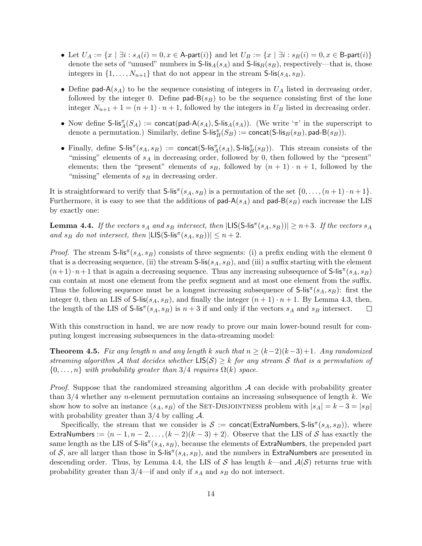- Let  $U_A := \{x \mid \exists i : s_A(i) = 0, x \in \mathsf{A}\text{-part}(i)\}\$  and let  $U_B := \{x \mid \exists i : s_B(i) = 0, x \in \mathsf{B}\text{-part}(i)\}\$ denote the sets of "unused" numbers in  $S$ -lis $_A(s_A)$  and  $S$ -lis $_B(s_B)$ , respectively—that is, those integers in  $\{1, \ldots, N_{n+1}\}\$  that do not appear in the stream  $\mathsf{S}\text{-}\mathsf{lis}(s_A, s_B)$ .
- Define pad- $A(s_A)$  to be the sequence consisting of integers in  $U_A$  listed in decreasing order, followed by the integer 0. Define pad- $B(s_B)$  to be the sequence consisting first of the lone integer  $N_{n+1} + 1 = (n+1) \cdot n + 1$ , followed by the integers in  $U_B$  listed in decreasing order.
- Now define  $S\text{-}\mathsf{lis}_{A}^{\pi}(S_A) := \text{concat}(\text{pad-A}(s_A), S\text{-}\mathsf{lis}_{A}(s_A)).$  (We write ' $\pi$ ' in the superscript to denote a permutation.) Similarly, define  $\mathsf{S}\text{-}\mathsf{lis}_B^{\pi}(S_B) := \mathsf{concat}(\mathsf{S}\text{-}\mathsf{lis}_B(s_B), \mathsf{pad}\text{-}\mathsf{B}(s_B)).$
- Finally, define  $S$ -lis $^{\pi}(s_A, s_B) := \text{concat}(S$ -lis $^{\pi}_A(s_A), S$ -lis $^{\pi}_B(s_B))$ . This stream consists of the "missing" elements of  $s_A$  in decreasing order, followed by 0, then followed by the "present" elements; then the "present" elements of  $s_B$ , followed by  $(n + 1) \cdot n + 1$ , followed by the "missing" elements of  $s_B$  in decreasing order.

It is straightforward to verify that  $S$ -lis<sup> $\pi(s_A, s_B)$ </sup> is a permutation of the set  $\{0, \ldots, (n+1) \cdot n + 1\}$ . Furthermore, it is easy to see that the additions of pad- $A(s_A)$  and pad- $B(s_B)$  each increase the LIS by exactly one:

**Lemma 4.4.** If the vectors  $s_A$  and  $s_B$  intersect, then  $|\text{LIS}(S\text{-}\text{lis}^{\pi}(s_A, s_B))| \geq n+3$ . If the vectors  $s_A$ and  $s_B$  do not intersect, then  $|\textsf{LIS}(S\textsf{-lis}^\pi(s_A, s_B))| \leq n+2$ .

*Proof.* The stream  $\mathsf{S}\text{-}\mathsf{lis}^{\pi}(s_A, s_B)$  consists of three segments: (i) a prefix ending with the element 0 that is a decreasing sequence, (ii) the stream  $\mathsf{S}\text{-}\mathsf{lis}(s_A, s_B)$ , and (iii) a suffix starting with the element  $(n+1)\cdot n+1$  that is again a decreasing sequence. Thus any increasing subsequence of  $\mathsf{S}\text{-}\mathsf{lis}^\pi(s_A, s_B)$ can contain at most one element from the prefix segment and at most one element from the suffix. Thus the following sequence must be a longest increasing subsequence of  $\mathsf{S}\text{-}\mathsf{lis}^{\pi}(s_A, s_B)$ : first the integer 0, then an LIS of  $\mathsf{S}\text{-}\mathsf{lis}(s_A, s_B)$ , and finally the integer  $(n+1) \cdot n + 1$ . By Lemma 4.3, then, the length of the LIS of  $\mathsf{S}\text{-}\mathsf{lis}^{\pi}(s_A, s_B)$  is  $n+3$  if and only if the vectors  $s_A$  and  $s_B$  intersect.  $\Box$ 

With this construction in hand, we are now ready to prove our main lower-bound result for computing longest increasing subsequences in the data-streaming model:

**Theorem 4.5.** Fix any length n and any length k such that  $n \geq (k-2)(k-3)+1$ . Any randomized streaming algorithm A that decides whether  $\text{LIS}(\mathcal{S}) \geq k$  for any stream S that is a permutation of  ${0, \ldots, n}$  with probability greater than 3/4 requires  $\Omega(k)$  space.

*Proof.* Suppose that the randomized streaming algorithm  $\mathcal A$  can decide with probability greater than  $3/4$  whether any *n*-element permutation contains an increasing subsequence of length k. We show how to solve an instance  $\langle s_A, s_B \rangle$  of the SET-DISJOINTNESS problem with  $|s_A| = k - 3 = |s_B|$ with probability greater than  $3/4$  by calling  $\mathcal{A}$ .

Specifically, the stream that we consider is  $S := \text{concat}(\text{ExtraNumbers}, \text{S-lis}^{\pi}(s_A, s_B)),$  where ExtraNumbers :=  $\langle n-1, n-2, \ldots, (k-2)(k-3)+2 \rangle$ . Observe that the LIS of S has exactly the same length as the LIS of  $\mathsf{S}\text{-}\mathsf{lis}^\pi(s_A, s_B)$ , because the elements of ExtraNumbers, the prepended part of S, are all larger than those in  $\mathsf{S}\text{-}\mathsf{lis}^\pi(s_A, s_B)$ , and the numbers in ExtraNumbers are presented in descending order. Thus, by Lemma 4.4, the LIS of S has length  $k$ —and  $\mathcal{A}(\mathcal{S})$  returns true with probability greater than  $3/4$ —if and only if  $s_A$  and  $s_B$  do not intersect.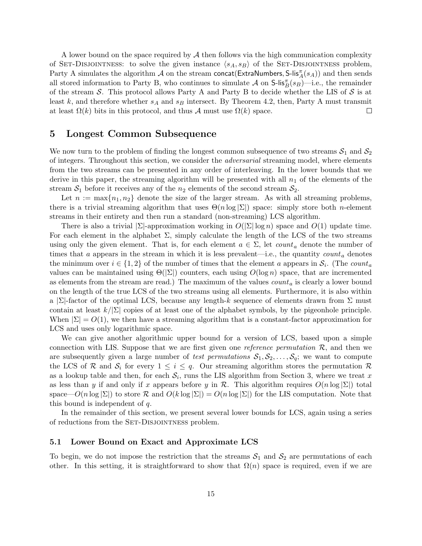A lower bound on the space required by A then follows via the high communication complexity of SET-DISJOINTNESS: to solve the given instance  $\langle s_A, s_B \rangle$  of the SET-DISJOINTNESS problem, Party A simulates the algorithm  $\mathcal A$  on the stream concat(ExtraNumbers, S-lis $^{\pi}_A(s_A))$  and then sends all stored information to Party B, who continues to simulate  $\mathcal A$  on  $\mathsf{S}\text{-}\mathsf{lis}_{B}^{\pi}(s_B)$ —i.e., the remainder of the stream S. This protocol allows Party A and Party B to decide whether the LIS of  $S$  is at least k, and therefore whether  $s_A$  and  $s_B$  intersect. By Theorem 4.2, then, Party A must transmit at least  $\Omega(k)$  bits in this protocol, and thus A must use  $\Omega(k)$  space.  $\Box$ 

## 5 Longest Common Subsequence

We now turn to the problem of finding the longest common subsequence of two streams  $S_1$  and  $S_2$ of integers. Throughout this section, we consider the adversarial streaming model, where elements from the two streams can be presented in any order of interleaving. In the lower bounds that we derive in this paper, the streaming algorithm will be presented with all  $n_1$  of the elements of the stream  $S_1$  before it receives any of the  $n_2$  elements of the second stream  $S_2$ .

Let  $n := \max\{n_1, n_2\}$  denote the size of the larger stream. As with all streaming problems, there is a trivial streaming algorithm that uses  $\Theta(n \log |\Sigma|)$  space: simply store both *n*-element streams in their entirety and then run a standard (non-streaming) LCS algorithm.

There is also a trivial  $|\Sigma|$ -approximation working in  $O(|\Sigma| \log n)$  space and  $O(1)$  update time. For each element in the alphabet  $\Sigma$ , simply calculate the length of the LCS of the two streams using only the given element. That is, for each element  $a \in \Sigma$ , let *count*<sub>a</sub> denote the number of times that a appears in the stream in which it is less prevalent—i.e., the quantity  $count_a$  denotes the minimum over  $i \in \{1,2\}$  of the number of times that the element a appears in  $\mathcal{S}_i$ . (The count<sub>a</sub> values can be maintained using  $\Theta(|\Sigma|)$  counters, each using  $O(\log n)$  space, that are incremented as elements from the stream are read.) The maximum of the values  $count_a$  is clearly a lower bound on the length of the true LCS of the two streams using all elements. Furthermore, it is also within a |Σ|-factor of the optimal LCS, because any length-k sequence of elements drawn from  $\Sigma$  must contain at least  $k/|\Sigma|$  copies of at least one of the alphabet symbols, by the pigeonhole principle. When  $|\Sigma| = O(1)$ , we then have a streaming algorithm that is a constant-factor approximation for LCS and uses only logarithmic space.

We can give another algorithmic upper bound for a version of LCS, based upon a simple connection with LIS. Suppose that we are first given one *reference permutation*  $\mathcal{R}$ , and then we are subsequently given a large number of test permutations  $S_1, S_2, \ldots, S_q$ ; we want to compute the LCS of R and  $S_i$  for every  $1 \leq i \leq q$ . Our streaming algorithm stores the permutation R as a lookup table and then, for each  $S_i$ , runs the LIS algorithm from Section 3, where we treat x as less than y if and only if x appears before y in R. This algorithm requires  $O(n \log |\Sigma|)$  total space— $O(n \log |\Sigma|)$  to store R and  $O(k \log |\Sigma|) = O(n \log |\Sigma|)$  for the LIS computation. Note that this bound is independent of q.

In the remainder of this section, we present several lower bounds for LCS, again using a series of reductions from the SET-DISJOINTNESS problem.

#### 5.1 Lower Bound on Exact and Approximate LCS

To begin, we do not impose the restriction that the streams  $S_1$  and  $S_2$  are permutations of each other. In this setting, it is straightforward to show that  $\Omega(n)$  space is required, even if we are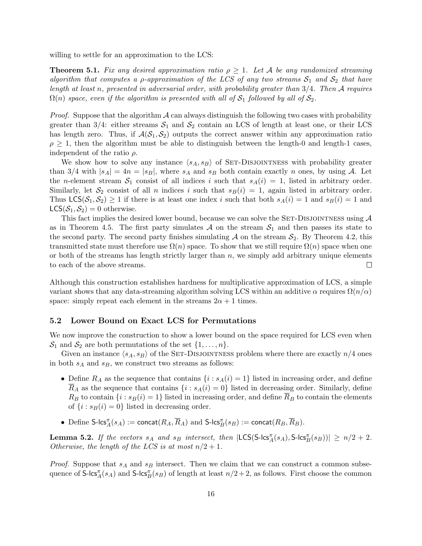willing to settle for an approximation to the LCS:

**Theorem 5.1.** Fix any desired approximation ratio  $\rho \geq 1$ . Let A be any randomized streaming algorithm that computes a  $\rho$ -approximation of the LCS of any two streams  $S_1$  and  $S_2$  that have length at least n, presented in adversarial order, with probability greater than 3/4. Then A requires  $\Omega(n)$  space, even if the algorithm is presented with all of  $S_1$  followed by all of  $S_2$ .

*Proof.* Suppose that the algorithm  $\mathcal A$  can always distinguish the following two cases with probability greater than 3/4: either streams  $S_1$  and  $S_2$  contain an LCS of length at least one, or their LCS has length zero. Thus, if  $\mathcal{A}(\mathcal{S}_1, \mathcal{S}_2)$  outputs the correct answer within any approximation ratio  $\rho \geq 1$ , then the algorithm must be able to distinguish between the length-0 and length-1 cases, independent of the ratio  $\rho$ .

We show how to solve any instance  $\langle s_A, s_B \rangle$  of SET-DISJOINTNESS with probability greater than 3/4 with  $|s_A| = 4n = |s_B|$ , where  $s_A$  and  $s_B$  both contain exactly n ones, by using A. Let the *n*-element stream  $S_1$  consist of all indices i such that  $s_A(i) = 1$ , listed in arbitrary order. Similarly, let  $S_2$  consist of all n indices i such that  $s_B(i) = 1$ , again listed in arbitrary order. Thus  $LCS(S_1, S_2) \geq 1$  if there is at least one index i such that both  $s_A(i) = 1$  and  $s_B(i) = 1$  and  $LCS(\mathcal{S}_1, \mathcal{S}_2) = 0$  otherwise.

This fact implies the desired lower bound, because we can solve the SET-DISJOINTNESS using  $\mathcal A$ as in Theorem 4.5. The first party simulates A on the stream  $S_1$  and then passes its state to the second party. The second party finishes simulating  $A$  on the stream  $S_2$ . By Theorem 4.2, this transmitted state must therefore use  $\Omega(n)$  space. To show that we still require  $\Omega(n)$  space when one or both of the streams has length strictly larger than  $n$ , we simply add arbitrary unique elements to each of the above streams.  $\Box$ 

Although this construction establishes hardness for multiplicative approximation of LCS, a simple variant shows that any data-streaming algorithm solving LCS within an additive  $\alpha$  requires  $\Omega(n/\alpha)$ space: simply repeat each element in the streams  $2\alpha + 1$  times.

#### 5.2 Lower Bound on Exact LCS for Permutations

We now improve the construction to show a lower bound on the space required for LCS even when  $S_1$  and  $S_2$  are both permutations of the set  $\{1, \ldots, n\}.$ 

Given an instance  $\langle s_A, s_B \rangle$  of the SET-DISJOINTNESS problem where there are exactly  $n/4$  ones in both  $s_A$  and  $s_B$ , we construct two streams as follows:

- Define  $R_A$  as the sequence that contains  $\{i : s_A(i) = 1\}$  listed in increasing order, and define  $\overline{R}_A$  as the sequence that contains  $\{i : s_A(i) = 0\}$  listed in decreasing order. Similarly, define  $R_B$  to contain  $\{i : s_B(i) = 1\}$  listed in increasing order, and define  $\overline{R}_B$  to contain the elements of  $\{i : s_B(i) = 0\}$  listed in decreasing order.
- Define S-lcs $^{\pi}_A(s_A) := \mathsf{concat}(R_A, \overline{R}_A)$  and S-lcs $^{\pi}_B(s_B) := \mathsf{concat}(R_B, \overline{R}_B)$ .

**Lemma 5.2.** If the vectors  $s_A$  and  $s_B$  intersect, then  $|LCS(S-ics_A^{\pi}(s_A), S-ics_B^{\pi}(s_B))| \ge n/2 + 2$ . Otherwise, the length of the LCS is at most  $n/2 + 1$ .

*Proof.* Suppose that  $s_A$  and  $s_B$  intersect. Then we claim that we can construct a common subsequence of  $S$ -lcs $\frac{\pi}{A}(s_A)$  and  $S$ -lcs $\frac{\pi}{B}(s_B)$  of length at least  $n/2+2$ , as follows. First choose the common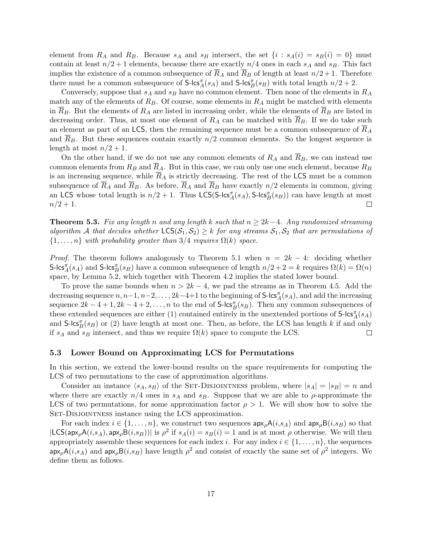element from  $R_A$  and  $R_B$ . Because  $s_A$  and  $s_B$  intersect, the set  $\{i : s_A(i) = s_B(i) = 0\}$  must contain at least  $n/2+1$  elements, because there are exactly  $n/4$  ones in each  $s_A$  and  $s_B$ . This fact implies the existence of a common subsequence of  $R_A$  and  $R_B$  of length at least  $n/2+1$ . Therefore there must be a common subsequence of  $S$ -lcs $_{A}^{\pi}(s_A)$  and  $S$ -lcs $_{B}^{\pi}(s_B)$  with total length  $n/2+2$ .

Conversely, suppose that  $s_A$  and  $s_B$  have no common element. Then none of the elements in  $R_A$ match any of the elements of  $R_B$ . Of course, some elements in  $R_A$  might be matched with elements in  $R_B$ . But the elements of  $R_A$  are listed in increasing order, while the elements of  $R_B$  are listed in decreasing order. Thus, at most one element of  $R_A$  can be matched with  $\overline{R}_B$ . If we do take such an element as part of an LCS, then the remaining sequence must be a common subsequence of  $\overline{R}_A$ and  $R_B$ . But these sequences contain exactly  $n/2$  common elements. So the longest sequence is length at most  $n/2 + 1$ .

On the other hand, if we do not use any common elements of  $R_A$  and  $R_B$ , we can instead use common elements from  $R_B$  and  $\overline{R}_A$ . But in this case, we can only use one such element, because  $R_B$ is an increasing sequence, while  $\overline{R}_A$  is strictly decreasing. The rest of the LCS must be a common subsequence of  $\overline{R}_A$  and  $\overline{R}_B$ . As before,  $\overline{R}_A$  and  $\overline{R}_B$  have exactly  $n/2$  elements in common, giving an LCS whose total length is  $n/2 + 1$ . Thus  $LCS(S-ics_A^{\pi}(s_A), S-ics_B^{\pi}(s_B))$  can have length at most  $n/2 + 1$ .  $\Box$ 

**Theorem 5.3.** Fix any length n and any length k such that  $n \geq 2k-4$ . Any randomized streaming algorithm A that decides whether  $LCS(S_1, S_2) \geq k$  for any streams  $S_1, S_2$  that are permutations of  $\{1,\ldots,n\}$  with probability greater than 3/4 requires  $\Omega(k)$  space.

*Proof.* The theorem follows analogously to Theorem 5.1 when  $n = 2k - 4$ : deciding whether S-lcs<sup> $\pi$ </sup>(*s<sub>A</sub>*) and S-lcs<sup> $\pi$ </sup>(*s<sub>B</sub>*) have a common subsequence of length  $n/2 + 2 = k$  requires  $\Omega(k) = \Omega(n)$ space, by Lemma 5.2, which together with Theorem 4.2 implies the stated lower bound.

To prove the same bounds when  $n > 2k - 4$ , we pad the streams as in Theorem 4.5. Add the decreasing sequence  $n, n-1, n-2, \ldots, 2k-4+1$  to the beginning of  $\mathsf{S}\text{-}\mathsf{lcs}_{A}^{\pi}(s_A)$ , and add the increasing sequence  $2k-4+1, 2k-4+2, \ldots, n$  to the end of  $S$ -lcs $^{\pi}_{B}(s_{B})$ . Then any common subsequences of these extended sequences are either (1) contained entirely in the unextended portions of  $\mathsf{S}\text{-}\mathsf{lcs}_{A}^{\pi}(s_A)$ and  $S$ -lcs $_{B}^{\pi}(s_{B})$  or (2) have length at most one. Then, as before, the LCS has length k if and only if  $s_A$  and  $s_B$  intersect, and thus we require  $\Omega(k)$  space to compute the LCS.  $\Box$ 

#### 5.3 Lower Bound on Approximating LCS for Permutations

In this section, we extend the lower-bound results on the space requirements for computing the LCS of two permutations to the case of approximation algorithms.

Consider an instance  $\langle s_A, s_B \rangle$  of the SET-DISJOINTNESS problem, where  $|s_A| = |s_B| = n$  and where there are exactly  $n/4$  ones in  $s_A$  and  $s_B$ . Suppose that we are able to  $\rho$ -approximate the LCS of two permutations, for some approximation factor  $\rho > 1$ . We will show how to solve the SET-DISJOINTNESS instance using the LCS approximation.

For each index  $i \in \{1, \ldots, n\}$ , we construct two sequences  $apx_{\rho}A(i,s_A)$  and  $apx_{\rho}B(i,s_B)$  so that  $|\mathsf{LCS}(\mathsf{apx}_\rho\mathsf{A}(i,s_A),\mathsf{apx}_\rho\mathsf{B}(i,s_B))|$  is  $\rho^2$  if  $s_A(i) = s_B(i) = 1$  and is at most  $\rho$  otherwise. We will then appropriately assemble these sequences for each index i. For any index  $i \in \{1, \ldots, n\}$ , the sequences  $apx_{\rho}A(i,s_A)$  and  $apx_{\rho}B(i,s_B)$  have length  $\rho^2$  and consist of exactly the same set of  $\rho^2$  integers. We define them as follows.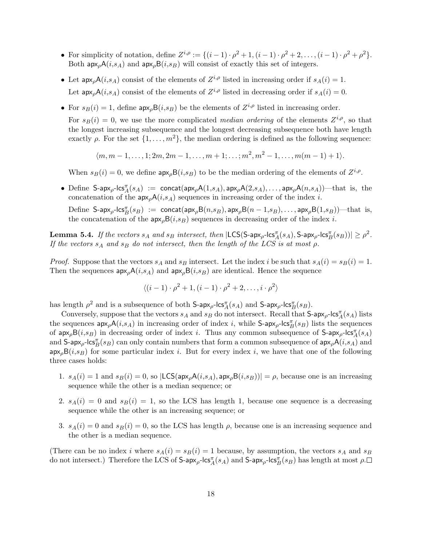- For simplicity of notation, define  $Z^{i,\rho} := \{(i-1) \cdot \rho^2 + 1, (i-1) \cdot \rho^2 + 2, \dots, (i-1) \cdot \rho^2 + \rho^2\}.$ Both  $apx<sub>o</sub>A(i,s<sub>A</sub>)$  and  $apx<sub>o</sub>B(i,s<sub>B</sub>)$  will consist of exactly this set of integers.
- Let  $apx_{\rho}A(i,s_A)$  consist of the elements of  $Z^{i,\rho}$  listed in increasing order if  $s_A(i) = 1$ . Let  $apx_{\rho}A(i,s_A)$  consist of the elements of  $Z^{i,\rho}$  listed in decreasing order if  $s_A(i) = 0$ .
- For  $s_B(i) = 1$ , define  $apx_{\rho}B(i,s_B)$  be the elements of  $Z^{i,\rho}$  listed in increasing order.

For  $s_B(i) = 0$ , we use the more complicated *median ordering* of the elements  $Z^{i,\rho}$ , so that the longest increasing subsequence and the longest decreasing subsequence both have length exactly  $\rho$ . For the set  $\{1, \ldots, m^2\}$ , the median ordering is defined as the following sequence:

 $\langle m, m-1, \ldots, 1; 2m, 2m-1, \ldots, m+1; \ldots; m^2, m^2-1, \ldots, m(m-1)+1 \rangle.$ 

When  $s_B(i) = 0$ , we define  $a p x_{\rho} B(i, s_B)$  to be the median ordering of the elements of  $Z^{i,\rho}$ .

• Define S-apx<sub>p</sub>-lcs<sup> $\pi$ </sup><sub>A</sub>(s<sub>A</sub>) := concat(apx<sub>p</sub>A(1,s<sub>A</sub>), apx<sub>p</sub>A(2,s<sub>A</sub>),...,apx<sub>p</sub>A(n,s<sub>A</sub>))—that is, the concatenation of the  $apx<sub>p</sub>A(i,s<sub>A</sub>)$  sequences in increasing order of the index *i*.

Define  $S$ -apx<sub>p</sub>-lcs<sup> $\pi$ </sup><sub>B</sub> $(s_B) := \text{concat}(\text{apx}_pB(n,s_B), \text{apx}_pB(n-1,s_B), \ldots, \text{apx}_pB(1,s_B))$ —that is, the concatenation of the  $apx<sub>\rho</sub>B(i,s<sub>B</sub>)$  sequences in decreasing order of the index i.

**Lemma 5.4.** If the vectors  $s_A$  and  $s_B$  intersect, then  $|\mathsf{LCS}(S\text{-apx}_\rho\text{-}\mathsf{lcs}_A^{\pi}(s_A), S\text{-apx}_\rho\text{-}\mathsf{lcs}_B^{\pi}(s_B))| \geq \rho^2$ . If the vectors  $s_A$  and  $s_B$  do not intersect, then the length of the LCS is at most  $\rho$ .

*Proof.* Suppose that the vectors  $s_A$  and  $s_B$  intersect. Let the index i be such that  $s_A(i) = s_B(i) = 1$ . Then the sequences  $apx<sub>o</sub>A(i,s<sub>A</sub>)$  and  $apx<sub>o</sub>B(i,s<sub>B</sub>)$  are identical. Hence the sequence

$$
\langle (i-1)\cdot\rho^2+1,(i-1)\cdot\rho^2+2,\ldots,i\cdot\rho^2\rangle
$$

has length  $\rho^2$  and is a subsequence of both  $\mathsf{S}\text{-}\mathsf{apx}_{\rho}\text{-}\mathsf{lcs}^{\pi}_A(s_A)$  and  $\mathsf{S}\text{-}\mathsf{apx}_{\rho}\text{-}\mathsf{lcs}^{\pi}_B(s_B)$ .

Conversely, suppose that the vectors  $s_A$  and  $s_B$  do not intersect. Recall that  $S$ -apx<sub>p</sub>-lcs<sub>A</sub><sup> $(A)$ </sup> lists the sequences  $\textsf{apx}_\rho \mathsf{A}(i,s_A)$  in increasing order of index i, while  $\textsf{S-apx}_\rho\text{-}\textsf{lcs}_B^\pi(s_B)$  lists the sequences of  $apx_{\rho}B(i,s_B)$  in decreasing order of index i. Thus any common subsequence of  $S$ -apx<sub>p</sub>-lcs<sub>A</sub> $(s_A)$ and  $\mathsf{S}$ -apx<sub>p</sub>-lcs<sub>B</sub> $(s_B)$  can only contain numbers that form a common subsequence of apx<sub>p</sub>A(*i*,s<sub>A</sub>) and  $apx<sub>o</sub>B(i,s<sub>B</sub>)$  for some particular index i. But for every index i, we have that one of the following three cases holds:

- 1.  $s_A(i) = 1$  and  $s_B(i) = 0$ , so  $|\mathsf{LCS}(\mathsf{apx}_{\rho}\mathsf{A}(i,s_A), \mathsf{apx}_{\rho}\mathsf{B}(i,s_B))| = \rho$ , because one is an increasing sequence while the other is a median sequence; or
- 2.  $s_A(i) = 0$  and  $s_B(i) = 1$ , so the LCS has length 1, because one sequence is a decreasing sequence while the other is an increasing sequence; or
- 3.  $s_A(i) = 0$  and  $s_B(i) = 0$ , so the LCS has length  $\rho$ , because one is an increasing sequence and the other is a median sequence.

(There can be no index i where  $s_A(i) = s_B(i) = 1$  because, by assumption, the vectors  $s_A$  and  $s_B$ do not intersect.) Therefore the LCS of  $S$ -apx<sub>p</sub>-lcs<sub>A</sub><sup>(s<sub>A</sub>)</sub> and  $S$ -apx<sub>p</sub>-lcs<sub>B</sub><sup>(s<sub>B</sub>)</sub> has length at most  $\rho$ .</sup></sup>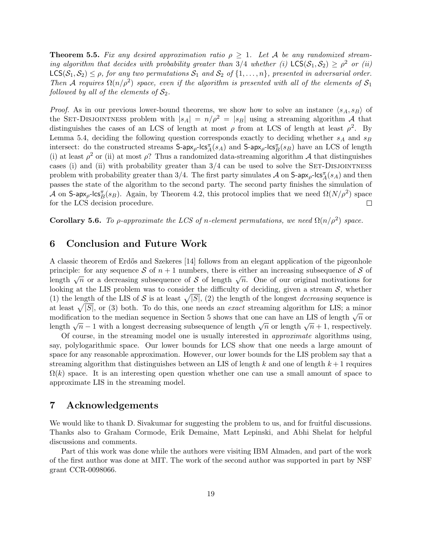**Theorem 5.5.** Fix any desired approximation ratio  $\rho \geq 1$ . Let A be any randomized streaming algorithm that decides with probability greater than  $3/4$  whether (i)  $LCS(S_1, S_2) \ge \rho^2$  or (ii)  $LCS(S_1, S_2) \leq \rho$ , for any two permutations  $S_1$  and  $S_2$  of  $\{1, \ldots, n\}$ , presented in adversarial order. Then A requires  $\Omega(n/\rho^2)$  space, even if the algorithm is presented with all of the elements of  $S_1$ followed by all of the elements of  $S_2$ .

*Proof.* As in our previous lower-bound theorems, we show how to solve an instance  $\langle s_A, s_B \rangle$  of the SET-DISJOINTNESS problem with  $|s_A| = n/\rho^2 = |s_B|$  using a streaming algorithm A that distinguishes the cases of an LCS of length at most  $\rho$  from at LCS of length at least  $\rho^2$ . By Lemma 5.4, deciding the following question corresponds exactly to deciding whether  $s_A$  and  $s_B$ intersect: do the constructed streams  $S$ -apx<sub>p</sub>-lcs<sub>A</sub> $(s_A)$  and  $S$ -apx<sub>p</sub>-lcs<sub>B</sub> $(s_B)$  have an LCS of length (i) at least  $\rho^2$  or (ii) at most  $\rho$ ? Thus a randomized data-streaming algorithm A that distinguishes cases (i) and (ii) with probability greater than  $3/4$  can be used to solve the SET-DISJOINTNESS problem with probability greater than 3/4. The first party simulates  $\mathcal A$  on  $S$ -apx<sub>p</sub>-lcs<sub>A</sub> $(s_A)$  and then passes the state of the algorithm to the second party. The second party finishes the simulation of A on S-apx<sub>p</sub>-lcs<sub>B</sub>(s<sub>B</sub>). Again, by Theorem 4.2, this protocol implies that we need  $\Omega(N/\rho^2)$  space for the LCS decision procedure.  $\Box$ 

**Corollary 5.6.** To  $\rho$ -approximate the LCS of n-element permutations, we need  $\Omega(n/\rho^2)$  space.

#### 6 Conclusion and Future Work

A classic theorem of Erdős and Szekeres [14] follows from an elegant application of the pigeonhole principle: for any sequence S of  $n + 1$  numbers, there is either an increasing subsequence of S of length  $\sqrt{n}$  or a decreasing subsequence of S of length  $\sqrt{n}$ . One of our original motivations for looking at the LIS problem was to consider the difficulty of deciding, given a stream  $S$ , whether (1) the length of the LIS of S is at least  $\sqrt{|S|}$ , (2) the length of the longest *decreasing* sequence is at least  $\sqrt{|S|}$ , or (3) both. To do this, one needs an *exact* streaming algorithm for LIS; a minor modification to the median sequence in Section 5 shows that one can have an LIS of length  $\sqrt{n}$  or length  $\sqrt{n} - 1$  with a longest decreasing subsequence of length  $\sqrt{n}$  or length  $\sqrt{n} + 1$ , respectively.

Of course, in the streaming model one is usually interested in approximate algorithms using, say, polylogarithmic space. Our lower bounds for LCS show that one needs a large amount of space for any reasonable approximation. However, our lower bounds for the LIS problem say that a streaming algorithm that distinguishes between an LIS of length  $k$  and one of length  $k+1$  requires  $\Omega(k)$  space. It is an interesting open question whether one can use a small amount of space to approximate LIS in the streaming model.

## 7 Acknowledgements

We would like to thank D. Sivakumar for suggesting the problem to us, and for fruitful discussions. Thanks also to Graham Cormode, Erik Demaine, Matt Lepinski, and Abhi Shelat for helpful discussions and comments.

Part of this work was done while the authors were visiting IBM Almaden, and part of the work of the first author was done at MIT. The work of the second author was supported in part by NSF grant CCR-0098066.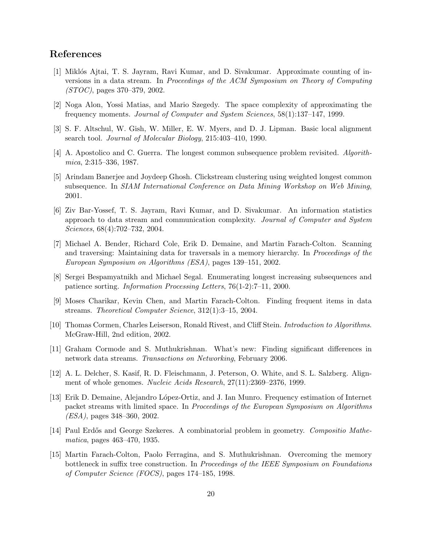## References

- [1] Miklós Ajtai, T. S. Jayram, Ravi Kumar, and D. Sivakumar. Approximate counting of inversions in a data stream. In Proceedings of the ACM Symposium on Theory of Computing (STOC), pages 370–379, 2002.
- [2] Noga Alon, Yossi Matias, and Mario Szegedy. The space complexity of approximating the frequency moments. Journal of Computer and System Sciences, 58(1):137–147, 1999.
- [3] S. F. Altschul, W. Gish, W. Miller, E. W. Myers, and D. J. Lipman. Basic local alignment search tool. Journal of Molecular Biology, 215:403–410, 1990.
- [4] A. Apostolico and C. Guerra. The longest common subsequence problem revisited. Algorithmica, 2:315–336, 1987.
- [5] Arindam Banerjee and Joydeep Ghosh. Clickstream clustering using weighted longest common subsequence. In SIAM International Conference on Data Mining Workshop on Web Mining, 2001.
- [6] Ziv Bar-Yossef, T. S. Jayram, Ravi Kumar, and D. Sivakumar. An information statistics approach to data stream and communication complexity. Journal of Computer and System Sciences, 68(4):702–732, 2004.
- [7] Michael A. Bender, Richard Cole, Erik D. Demaine, and Martin Farach-Colton. Scanning and traversing: Maintaining data for traversals in a memory hierarchy. In Proceedings of the European Symposium on Algorithms (ESA), pages 139–151, 2002.
- [8] Sergei Bespamyatnikh and Michael Segal. Enumerating longest increasing subsequences and patience sorting. Information Processing Letters, 76(1-2):7–11, 2000.
- [9] Moses Charikar, Kevin Chen, and Martin Farach-Colton. Finding frequent items in data streams. Theoretical Computer Science, 312(1):3–15, 2004.
- [10] Thomas Cormen, Charles Leiserson, Ronald Rivest, and Cliff Stein. Introduction to Algorithms. McGraw-Hill, 2nd edition, 2002.
- [11] Graham Cormode and S. Muthukrishnan. What's new: Finding significant differences in network data streams. Transactions on Networking, February 2006.
- [12] A. L. Delcher, S. Kasif, R. D. Fleischmann, J. Peterson, O. White, and S. L. Salzberg. Alignment of whole genomes. Nucleic Acids Research, 27(11):2369–2376, 1999.
- [13] Erik D. Demaine, Alejandro L´opez-Ortiz, and J. Ian Munro. Frequency estimation of Internet packet streams with limited space. In Proceedings of the European Symposium on Algorithms (ESA), pages 348–360, 2002.
- [14] Paul Erdős and George Szekeres. A combinatorial problem in geometry. Compositio Mathematica, pages 463–470, 1935.
- [15] Martin Farach-Colton, Paolo Ferragina, and S. Muthukrishnan. Overcoming the memory bottleneck in suffix tree construction. In Proceedings of the IEEE Symposium on Foundations of Computer Science (FOCS), pages 174–185, 1998.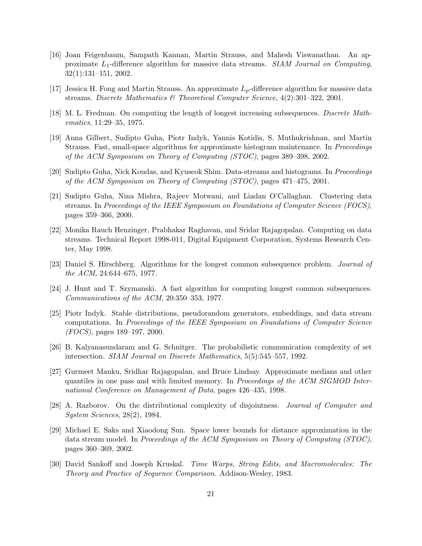- [16] Joan Feigenbaum, Sampath Kannan, Martin Strauss, and Mahesh Viswanathan. An approximate  $L_1$ -difference algorithm for massive data streams. SIAM Journal on Computing, 32(1):131–151, 2002.
- [17] Jessica H. Fong and Martin Strauss. An approximate  $L_p$ -difference algorithm for massive data streams. Discrete Mathematics & Theoretical Computer Science, 4(2):301–322, 2001.
- [18] M. L. Fredman. On computing the length of longest increasing subsequences. Discrete Mathematics, 11:29–35, 1975.
- [19] Anna Gilbert, Sudipto Guha, Piotr Indyk, Yannis Kotidis, S. Muthukrishnan, and Martin Strauss. Fast, small-space algorithms for approximate histogram maintenance. In Proceedings of the ACM Symposium on Theory of Computing (STOC), pages 389–398, 2002.
- [20] Sudipto Guha, Nick Koudas, and Kyuseok Shim. Data-streams and histograms. In Proceedings of the ACM Symposium on Theory of Computing (STOC), pages 471–475, 2001.
- [21] Sudipto Guha, Nina Mishra, Rajeev Motwani, and Liadan O'Callaghan. Clustering data streams. In Proceedings of the IEEE Symposium on Foundations of Computer Science (FOCS), pages 359–366, 2000.
- [22] Monika Rauch Henzinger, Prabhakar Raghavan, and Sridar Rajagopalan. Computing on data streams. Technical Report 1998-011, Digital Equipment Corporation, Systems Research Center, May 1998.
- [23] Daniel S. Hirschberg. Algorithms for the longest common subsequence problem. Journal of the ACM, 24:644–675, 1977.
- [24] J. Hunt and T. Szymanski. A fast algorithm for computing longest common subsequences. Communications of the ACM, 20:350–353, 1977.
- [25] Piotr Indyk. Stable distributions, pseudorandom generators, embeddings, and data stream computations. In Proceedings of the IEEE Symposium on Foundations of Computer Science (FOCS), pages 189–197, 2000.
- [26] B. Kalyanasundaram and G. Schnitger. The probabilistic communication complexity of set intersection. SIAM Journal on Discrete Mathematics, 5(5):545–557, 1992.
- [27] Gurmeet Manku, Sridhar Rajagopalan, and Bruce Lindsay. Approximate medians and other quantiles in one pass and with limited memory. In Proceedings of the ACM SIGMOD International Conference on Management of Data, pages 426–435, 1998.
- [28] A. Razborov. On the distributional complexity of disjointness. Journal of Computer and System Sciences, 28(2), 1984.
- [29] Michael E. Saks and Xiaodong Sun. Space lower bounds for distance approximation in the data stream model. In Proceedings of the ACM Symposium on Theory of Computing (STOC), pages 360–369, 2002.
- [30] David Sankoff and Joseph Kruskal. Time Warps, String Edits, and Macromolecules: The Theory and Practice of Sequence Comparison. Addison-Wesley, 1983.